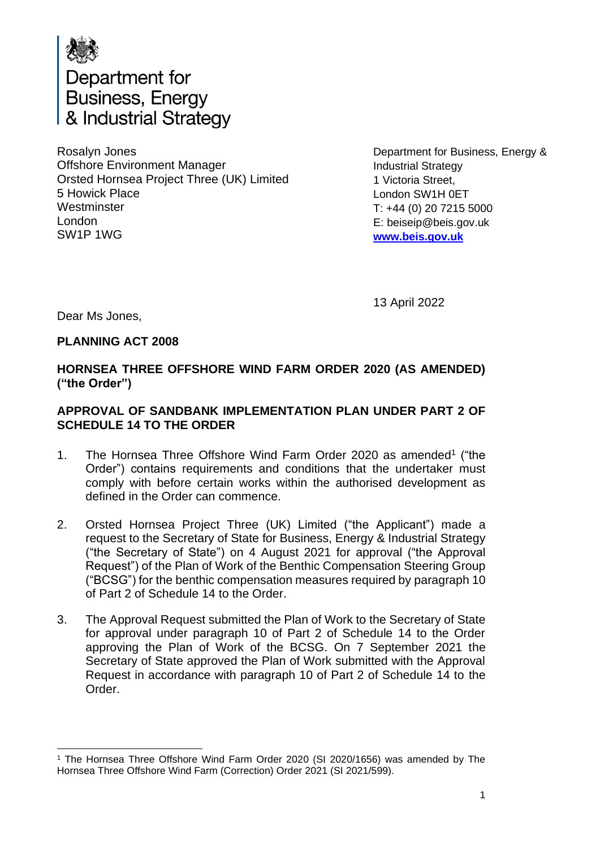

Department for Business, Energy & Industrial Strategy

Rosalyn Jones Offshore Environment Manager Orsted Hornsea Project Three (UK) Limited 5 Howick Place **Westminster** London SW1P 1WG

Department for Business, Energy & Industrial Strategy 1 Victoria Street, London SW1H 0ET T: +44 (0) 20 7215 5000 E: beiseip@beis.gov.uk **[www.beis.gov.uk](http://www.beis.gov.uk/)**

13 April 2022

Dear Ms Jones,

### **PLANNING ACT 2008**

# **HORNSEA THREE OFFSHORE WIND FARM ORDER 2020 (AS AMENDED) ("the Order")**

## **APPROVAL OF SANDBANK IMPLEMENTATION PLAN UNDER PART 2 OF SCHEDULE 14 TO THE ORDER**

- 1. The Hornsea Three Offshore Wind Farm Order 2020 as amended<sup>1</sup> ("the Order") contains requirements and conditions that the undertaker must comply with before certain works within the authorised development as defined in the Order can commence.
- 2. Orsted Hornsea Project Three (UK) Limited ("the Applicant") made a request to the Secretary of State for Business, Energy & Industrial Strategy ("the Secretary of State") on 4 August 2021 for approval ("the Approval Request") of the Plan of Work of the Benthic Compensation Steering Group ("BCSG") for the benthic compensation measures required by paragraph 10 of Part 2 of Schedule 14 to the Order.
- 3. The Approval Request submitted the Plan of Work to the Secretary of State for approval under paragraph 10 of Part 2 of Schedule 14 to the Order approving the Plan of Work of the BCSG. On 7 September 2021 the Secretary of State approved the Plan of Work submitted with the Approval Request in accordance with paragraph 10 of Part 2 of Schedule 14 to the Order.

<sup>1</sup> The Hornsea Three Offshore Wind Farm Order 2020 (SI 2020/1656) was amended by The Hornsea Three Offshore Wind Farm (Correction) Order 2021 (SI 2021/599).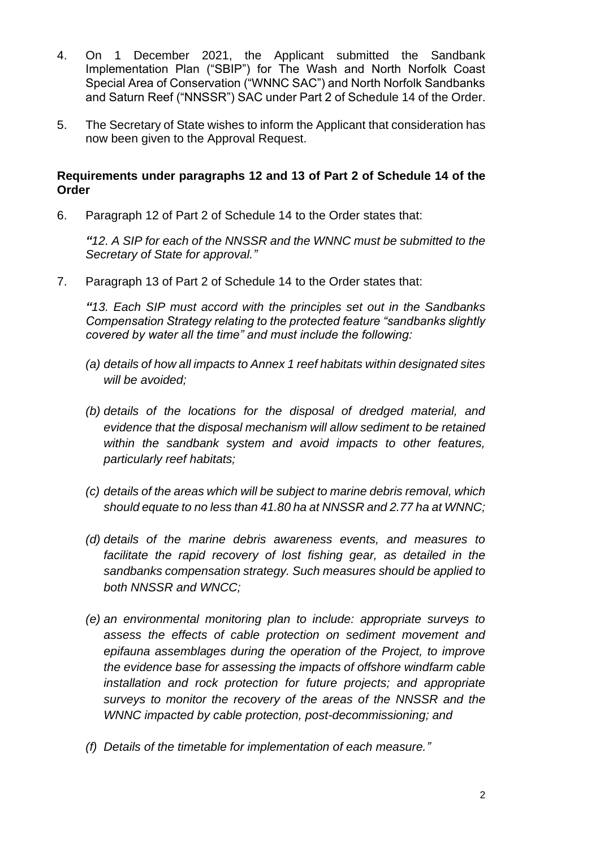- 4. On 1 December 2021, the Applicant submitted the Sandbank Implementation Plan ("SBIP") for The Wash and North Norfolk Coast Special Area of Conservation ("WNNC SAC") and North Norfolk Sandbanks and Saturn Reef ("NNSSR") SAC under Part 2 of Schedule 14 of the Order.
- 5. The Secretary of State wishes to inform the Applicant that consideration has now been given to the Approval Request.

#### **Requirements under paragraphs 12 and 13 of Part 2 of Schedule 14 of the Order**

6. Paragraph 12 of Part 2 of Schedule 14 to the Order states that:

*"12. A SIP for each of the NNSSR and the WNNC must be submitted to the Secretary of State for approval."*

7. Paragraph 13 of Part 2 of Schedule 14 to the Order states that:

*"13. Each SIP must accord with the principles set out in the Sandbanks Compensation Strategy relating to the protected feature "sandbanks slightly covered by water all the time" and must include the following:*

- *(a) details of how all impacts to Annex 1 reef habitats within designated sites will be avoided;*
- *(b) details of the locations for the disposal of dredged material, and evidence that the disposal mechanism will allow sediment to be retained within the sandbank system and avoid impacts to other features, particularly reef habitats;*
- *(c) details of the areas which will be subject to marine debris removal, which should equate to no less than 41.80 ha at NNSSR and 2.77 ha at WNNC;*
- *(d) details of the marine debris awareness events, and measures to facilitate the rapid recovery of lost fishing gear, as detailed in the sandbanks compensation strategy. Such measures should be applied to both NNSSR and WNCC;*
- *(e) an environmental monitoring plan to include: appropriate surveys to assess the effects of cable protection on sediment movement and epifauna assemblages during the operation of the Project, to improve the evidence base for assessing the impacts of offshore windfarm cable installation and rock protection for future projects; and appropriate surveys to monitor the recovery of the areas of the NNSSR and the WNNC impacted by cable protection, post-decommissioning; and*
- *(f) Details of the timetable for implementation of each measure."*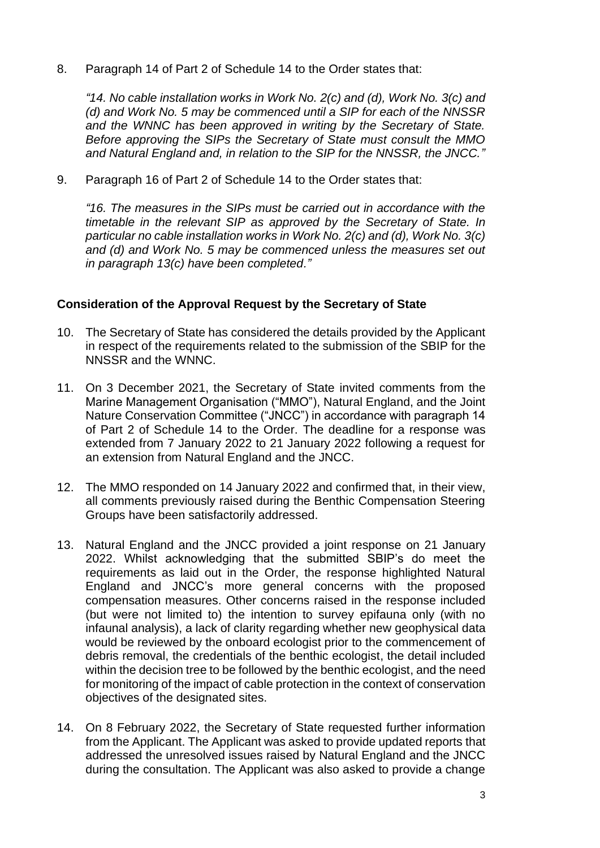8. Paragraph 14 of Part 2 of Schedule 14 to the Order states that:

*"14. No cable installation works in Work No. 2(c) and (d), Work No. 3(c) and (d) and Work No. 5 may be commenced until a SIP for each of the NNSSR and the WNNC has been approved in writing by the Secretary of State. Before approving the SIPs the Secretary of State must consult the MMO and Natural England and, in relation to the SIP for the NNSSR, the JNCC."*

9. Paragraph 16 of Part 2 of Schedule 14 to the Order states that:

*"16. The measures in the SIPs must be carried out in accordance with the timetable in the relevant SIP as approved by the Secretary of State. In particular no cable installation works in Work No. 2(c) and (d), Work No. 3(c) and (d) and Work No. 5 may be commenced unless the measures set out in paragraph 13(c) have been completed."*

#### **Consideration of the Approval Request by the Secretary of State**

- 10. The Secretary of State has considered the details provided by the Applicant in respect of the requirements related to the submission of the SBIP for the NNSSR and the WNNC.
- 11. On 3 December 2021, the Secretary of State invited comments from the Marine Management Organisation ("MMO"), Natural England, and the Joint Nature Conservation Committee ("JNCC") in accordance with paragraph 14 of Part 2 of Schedule 14 to the Order. The deadline for a response was extended from 7 January 2022 to 21 January 2022 following a request for an extension from Natural England and the JNCC.
- 12. The MMO responded on 14 January 2022 and confirmed that, in their view, all comments previously raised during the Benthic Compensation Steering Groups have been satisfactorily addressed.
- 13. Natural England and the JNCC provided a joint response on 21 January 2022. Whilst acknowledging that the submitted SBIP's do meet the requirements as laid out in the Order, the response highlighted Natural England and JNCC's more general concerns with the proposed compensation measures. Other concerns raised in the response included (but were not limited to) the intention to survey epifauna only (with no infaunal analysis), a lack of clarity regarding whether new geophysical data would be reviewed by the onboard ecologist prior to the commencement of debris removal, the credentials of the benthic ecologist, the detail included within the decision tree to be followed by the benthic ecologist, and the need for monitoring of the impact of cable protection in the context of conservation objectives of the designated sites.
- 14. On 8 February 2022, the Secretary of State requested further information from the Applicant. The Applicant was asked to provide updated reports that addressed the unresolved issues raised by Natural England and the JNCC during the consultation. The Applicant was also asked to provide a change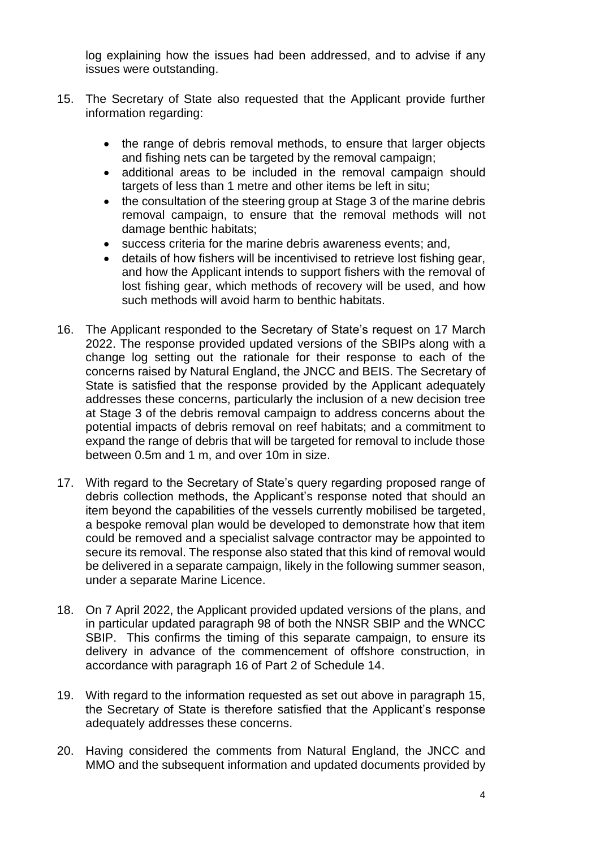log explaining how the issues had been addressed, and to advise if any issues were outstanding.

- 15. The Secretary of State also requested that the Applicant provide further information regarding:
	- the range of debris removal methods, to ensure that larger objects and fishing nets can be targeted by the removal campaign;
	- additional areas to be included in the removal campaign should targets of less than 1 metre and other items be left in situ;
	- the consultation of the steering group at Stage 3 of the marine debris removal campaign, to ensure that the removal methods will not damage benthic habitats;
	- success criteria for the marine debris awareness events; and,
	- details of how fishers will be incentivised to retrieve lost fishing gear, and how the Applicant intends to support fishers with the removal of lost fishing gear, which methods of recovery will be used, and how such methods will avoid harm to benthic habitats.
- 16. The Applicant responded to the Secretary of State's request on 17 March 2022. The response provided updated versions of the SBIPs along with a change log setting out the rationale for their response to each of the concerns raised by Natural England, the JNCC and BEIS. The Secretary of State is satisfied that the response provided by the Applicant adequately addresses these concerns, particularly the inclusion of a new decision tree at Stage 3 of the debris removal campaign to address concerns about the potential impacts of debris removal on reef habitats; and a commitment to expand the range of debris that will be targeted for removal to include those between 0.5m and 1 m, and over 10m in size.
- 17. With regard to the Secretary of State's query regarding proposed range of debris collection methods, the Applicant's response noted that should an item beyond the capabilities of the vessels currently mobilised be targeted, a bespoke removal plan would be developed to demonstrate how that item could be removed and a specialist salvage contractor may be appointed to secure its removal. The response also stated that this kind of removal would be delivered in a separate campaign, likely in the following summer season, under a separate Marine Licence.
- 18. On 7 April 2022, the Applicant provided updated versions of the plans, and in particular updated paragraph 98 of both the NNSR SBIP and the WNCC SBIP. This confirms the timing of this separate campaign, to ensure its delivery in advance of the commencement of offshore construction, in accordance with paragraph 16 of Part 2 of Schedule 14.
- 19. With regard to the information requested as set out above in paragraph 15, the Secretary of State is therefore satisfied that the Applicant's response adequately addresses these concerns.
- 20. Having considered the comments from Natural England, the JNCC and MMO and the subsequent information and updated documents provided by